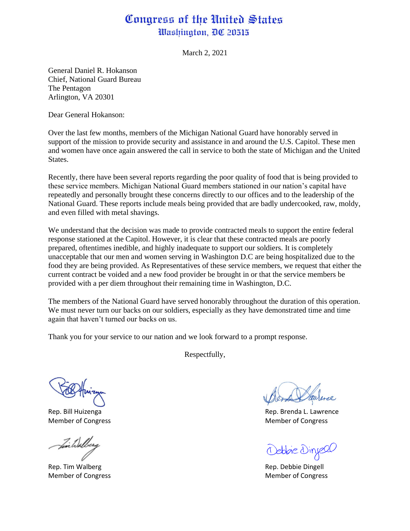## Congress of the United States Washington, DC 20515

March 2, 2021

General Daniel R. Hokanson Chief, National Guard Bureau The Pentagon Arlington, VA 20301

Dear General Hokanson:

Over the last few months, members of the Michigan National Guard have honorably served in support of the mission to provide security and assistance in and around the U.S. Capitol. These men and women have once again answered the call in service to both the state of Michigan and the United States.

Recently, there have been several reports regarding the poor quality of food that is being provided to these service members. Michigan National Guard members stationed in our nation's capital have repeatedly and personally brought these concerns directly to our offices and to the leadership of the National Guard. These reports include meals being provided that are badly undercooked, raw, moldy, and even filled with metal shavings.

We understand that the decision was made to provide contracted meals to support the entire federal response stationed at the Capitol. However, it is clear that these contracted meals are poorly prepared, oftentimes inedible, and highly inadequate to support our soldiers. It is completely unacceptable that our men and women serving in Washington D.C are being hospitalized due to the food they are being provided. As Representatives of these service members, we request that either the current contract be voided and a new food provider be brought in or that the service members be provided with a per diem throughout their remaining time in Washington, D.C.

The members of the National Guard have served honorably throughout the duration of this operation. We must never turn our backs on our soldiers, especially as they have demonstrated time and time again that haven't turned our backs on us.

Thank you for your service to our nation and we look forward to a prompt response.

Respectfully,

fin Walber

Rep. Tim Walberg **Rep. Dingell** Rep. Debbie Dingell Member of Congress **Member of Congress** Member of Congress and The Member of Congress and The Member of Congress

Rep. Bill Huizenga **Rep. Bill Huizenga** Rep. Brenda L. Lawrence Member of Congress **Member of Congress** Member of Congress and the Member of Congress of Congress and the Member of Congress and the Member of Congress and the Member of Congress and the Member of Congress and the Member o

Oebbie Dinyeel